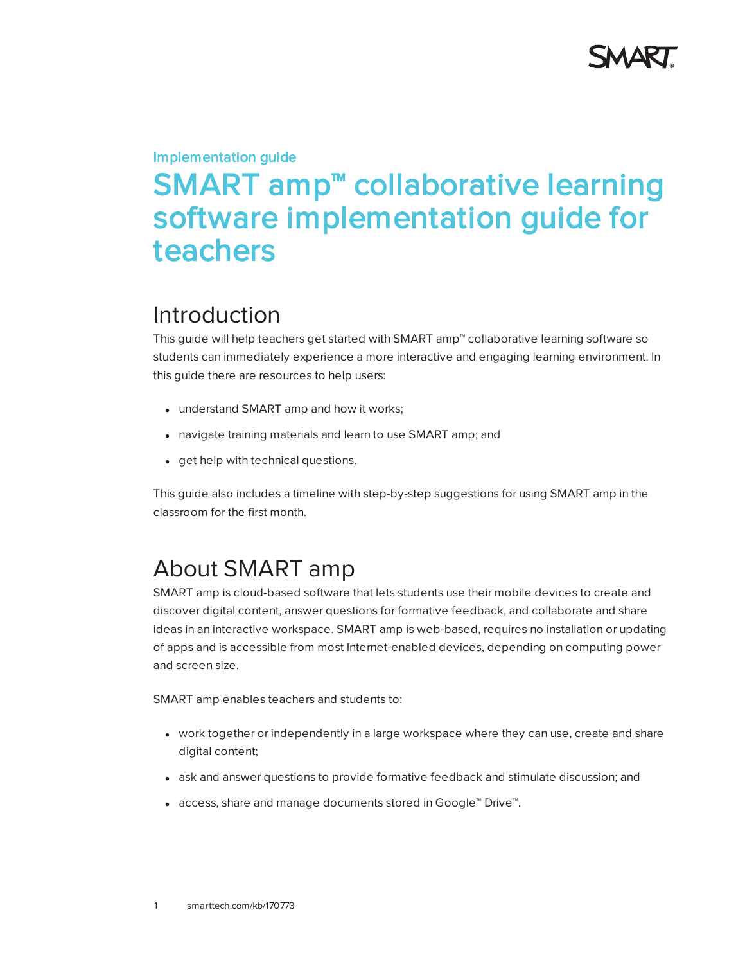

# Implementation guide SMART amp<sup>™</sup> collaborative learning software implementation guide for teachers

### Introduction

This guide will help teachers get started with SMART amp™ collaborative learning software so students can immediately experience a more interactive and engaging learning environment. In this guide there are resources to help users:

- understand SMART amp and how it works;
- navigate training materials and learn to use SMART amp; and
- get help with technical questions.

This guide also includes a timeline with step-by-step suggestions for using SMART amp in the classroom for the first month.

## About SMART amp

SMART amp is cloud-based software that lets students use their mobile devices to create and discover digital content, answer questions for formative feedback, and collaborate and share ideas in an interactive workspace. SMART amp is web-based, requires no installation or updating of apps and is accessible from most Internet-enabled devices, depending on computing power and screen size.

SMART amp enables teachers and students to:

- work together or independently in a large workspace where they can use, create and share digital content;
- ask and answer questions to provide formative feedback and stimulate discussion; and
- <sup>l</sup> access, share and manage documents stored in Google™ Drive™.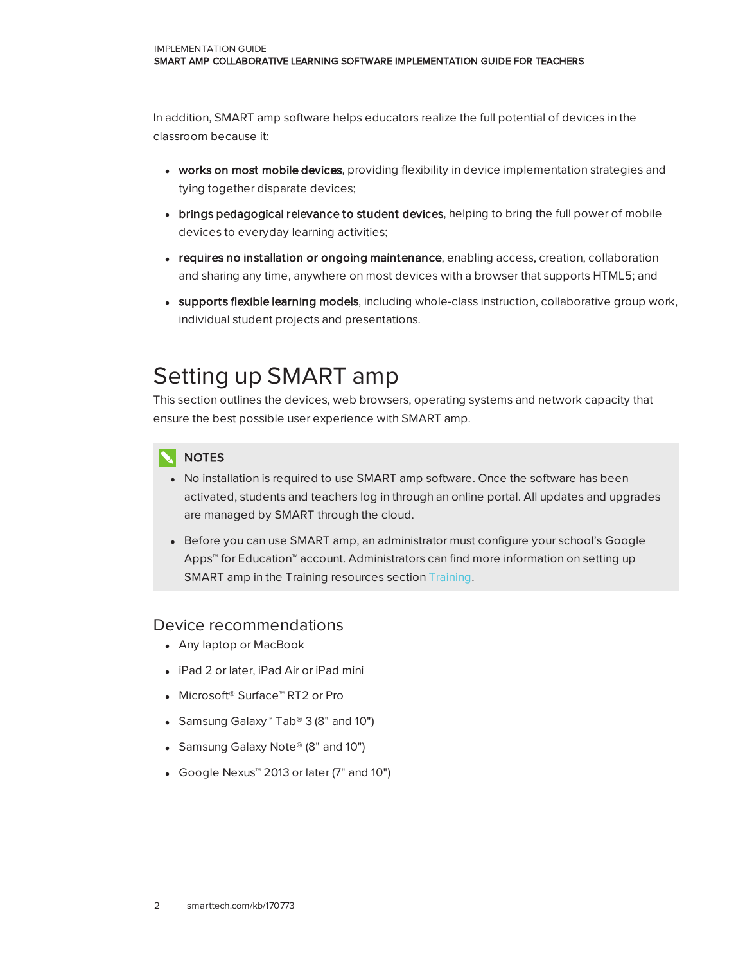In addition, SMART amp software helps educators realize the full potential of devices in the classroom because it:

- works on most mobile devices, providing flexibility in device implementation strategies and tying together disparate devices;
- brings pedagogical relevance to student devices, helping to bring the full power of mobile devices to everyday learning activities;
- requires no installation or ongoing maintenance, enabling access, creation, collaboration and sharing any time, anywhere on most devices with a browser that supports HTML5; and
- **.** supports flexible learning models, including whole-class instruction, collaborative group work, individual student projects and presentations.

## Setting up SMART amp

This section outlines the devices, web browsers, operating systems and network capacity that ensure the best possible user experience with SMART amp.

### **NOTES**

- No installation is required to use SMART amp software. Once the software has been activated, students and teachers log in through an online portal. All updates and upgrades are managed by SMART through the cloud.
- Before you can use SMART amp, an administrator must configure your school's Google Apps™ for Education™ account. Administrators can find more information on setting up SMART amp in the Training resources section [Training.](#page-3-0)

### Device recommendations

- Any laptop or MacBook
- iPad 2 or later, iPad Air or iPad mini
- Microsoft<sup>®</sup> Surface™ RT2 or Pro
- Samsung Galaxy<sup>™</sup> Tab® 3 (8" and 10")
- Samsung Galaxy Note<sup>®</sup> (8" and 10")
- Google Nexus™ 2013 or later (7" and 10")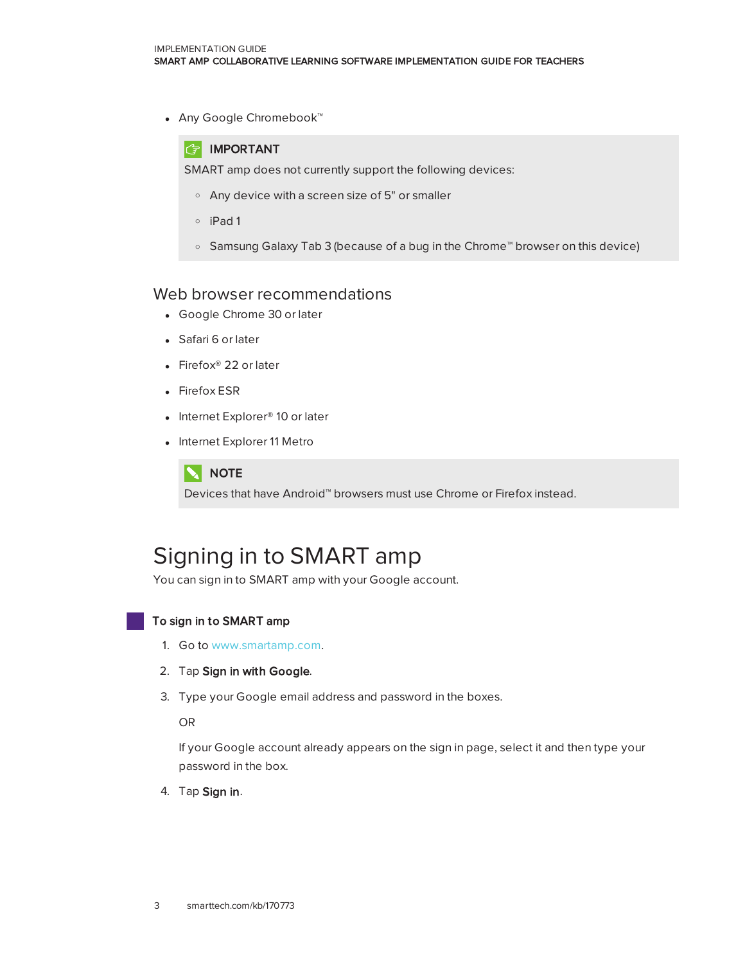• Any Google Chromebook™



SMART amp does not currently support the following devices:

- <sup>o</sup> Any device with a screen size of 5" or smaller
- <sup>o</sup> iPad 1
- <sup>o</sup> Samsung Galaxy Tab 3 (because of a bug in the Chrome™ browser on this device)

#### Web browser recommendations

- Google Chrome 30 or later
- Safari 6 or later
- Firefox<sup>®</sup> 22 or later
- Firefox ESR
- Internet Explorer<sup>®</sup> 10 or later
- Internet Explorer 11 Metro



Devices that have Android™ browsers must use Chrome or Firefox instead.

## Signing in to SMART amp

You can sign in to SMART amp with your Google account.

#### To sign in to SMART amp

- 1. Go to [www.smartamp.com](http://www.smartamp.com/).
- 2. Tap Sign in with Google.
- 3. Type your Google email address and password in the boxes.

OR

If your Google account already appears on the sign in page, select it and then type your password in the box.

4. Tap Sign in.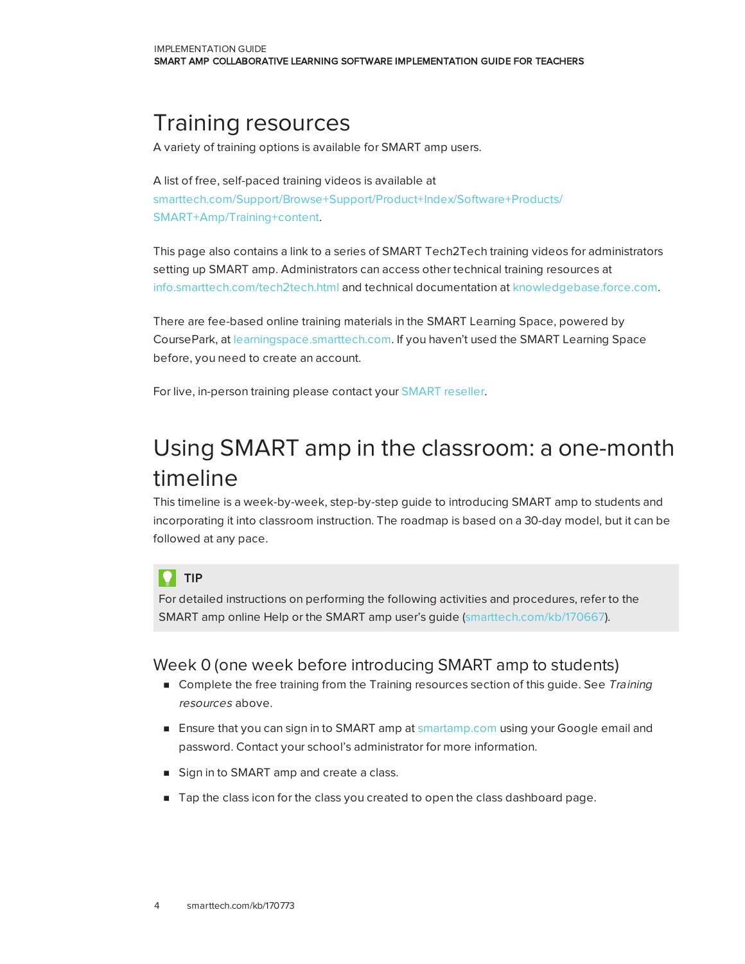## <span id="page-3-0"></span>Training resources

A variety of training options is available for SMART amp users.

A list of free, self-paced training videos is available at [smarttech.com/Support/Browse+Support/Product+Index/Software+Products/](http://smarttech.com/Support/Browse+Support/Product+Index/Software+Products/SMART+Amp/Training+content) SMART+Amp/Training+content.

This page also contains a link to a series of SMART Tech2Tech training videos for administrators setting up SMART amp. Administrators can access other technical training resources at [info.smarttech.com/tech2tech.html](http://info.smarttech.com/tech2tech.html) and technical documentation at [knowledgebase.force.com.](http://knowledgebase.force.com/)

There are fee-based online training materials in the SMART Learning Space, powered by CoursePark, at [learningspace.smarttech.com.](http://learningspace.smarttech.com/) If you haven't used the SMART Learning Space before, you need to create an account.

For live, in-person training please contact your [SMART reseller](http://www.smarttech.com/Where+To+Buy/).

# Using SMART amp in the classroom: a one-month timeline

This timeline is a week-by-week, step-by-step guide to introducing SMART amp to students and incorporating it into classroom instruction. The roadmap is based on a 30-day model, but it can be followed at any pace.

#### TIP O.

For detailed instructions on performing the following activities and procedures, refer to the SMART amp online Help or the SMART amp user's guide [\(smarttech.com/kb/170667](http://smarttech.com/kb/170667)).

### Week 0 (one week before introducing SMART amp to students)

- **n** Complete the free training from the [Training](#page-3-0) resources section of this guide. See Training resources [above](#page-3-0).
- **Ensure that you can sign in to SMART amp at [smartamp.com](https://www.smartamp.com/) using your Google email and** password. Contact your school's administrator for more information.
- Sign in to SMART amp and create a class.
- **n** Tap the class icon for the class you created to open the class dashboard page.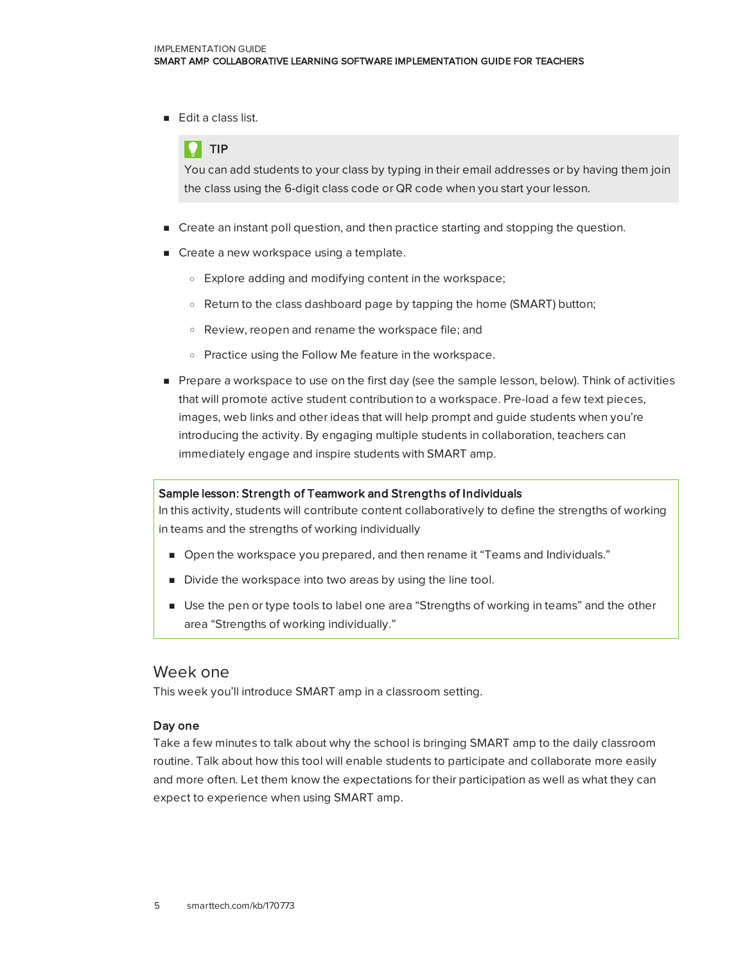**Edit a class list.** 

### TIP

You can add students to your class by typing in their email addresses or by having them join the class using the 6-digit class code or QR code when you start your lesson.

- Create an instant poll question, and then practice starting and stopping the question.
- Create a new workspace using a template.
	- <sup>o</sup> Explore adding and modifying content in the workspace;
	- $\circ$  Return to the class dashboard page by tapping the home (SMART) button;
	- <sup>o</sup> Review, reopen and rename the workspace file; and
	- <sup>o</sup> Practice using the Follow Me feature in the workspace.
- **Prepare a workspace to use on the first day (see the sample lesson, below). Think of activities** that will promote active student contribution to a workspace. Pre-load a few text pieces, images, web links and other ideas that will help prompt and guide students when you're introducing the activity. By engaging multiple students in collaboration, teachers can immediately engage and inspire students with SMART amp.

#### Sample lesson: Strength of Teamwork and Strengths of Individuals

In this activity, students will contribute content collaboratively to define the strengths of working in teams and the strengths of working individually

- **n** Open the workspace you prepared, and then rename it "Teams and Individuals."
- Divide the workspace into two areas by using the line tool.
- <sup>n</sup> Use the pen or type tools to label one area "Strengths of working in teams" and the other area "Strengths of working individually."

#### Week one

This week you'll introduce SMART amp in a classroom setting.

#### Day one

Take a few minutes to talk about why the school is bringing SMART amp to the daily classroom routine. Talk about how this tool will enable students to participate and collaborate more easily and more often. Let them know the expectations for their participation as well as what they can expect to experience when using SMART amp.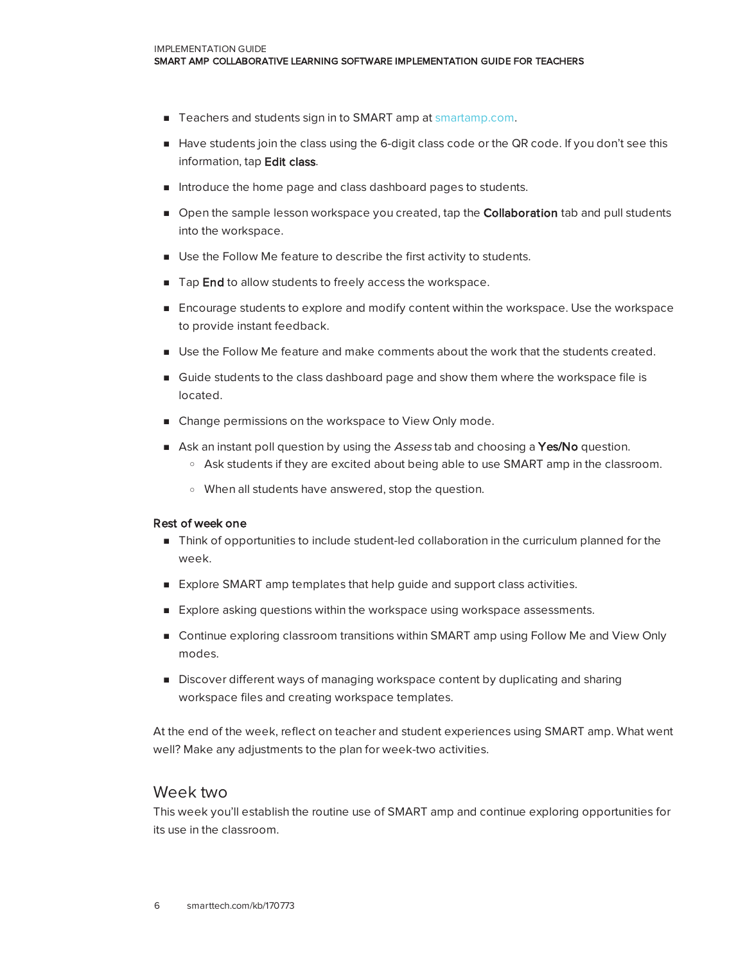- Teachers and students sign in to SMART amp at [smartamp.com](https://www.smartamp.com/).
- <sup>n</sup> Have students join the class using the 6-digit class code or the QR code. If you don't see this information, tap Edit class.
- n Introduce the home page and class dashboard pages to students.
- **Open the sample lesson workspace you created, tap the Collaboration tab and pull students** into the workspace.
- <sup>n</sup> Use the Follow Me feature to describe the first activity to students.
- Tap End to allow students to freely access the workspace.
- **Encourage students to explore and modify content within the workspace. Use the workspace** to provide instant feedback.
- **Deara Islands The Follow Me feature and make comments about the work that the students created.**
- **n** Guide students to the class dashboard page and show them where the workspace file is located.
- n Change permissions on the workspace to View Only mode.
- Ask an instant poll question by using the Assess tab and choosing a Yes/No question.
	- <sup>o</sup> Ask students if they are excited about being able to use SMART amp in the classroom.
	- <sup>o</sup> When all students have answered, stop the question.

#### Rest of week one

- n Think of opportunities to include student-led collaboration in the curriculum planned for the week.
- **Explore SMART amp templates that help guide and support class activities.**
- <sup>n</sup> Explore asking questions within the workspace using workspace assessments.
- **n** Continue exploring classroom transitions within SMART amp using Follow Me and View Only modes.
- **Discover different ways of managing workspace content by duplicating and sharing** workspace files and creating workspace templates.

At the end of the week, reflect on teacher and student experiences using SMART amp. What went well? Make any adjustments to the plan for week-two activities.

#### Week two

This week you'll establish the routine use of SMART amp and continue exploring opportunities for its use in the classroom.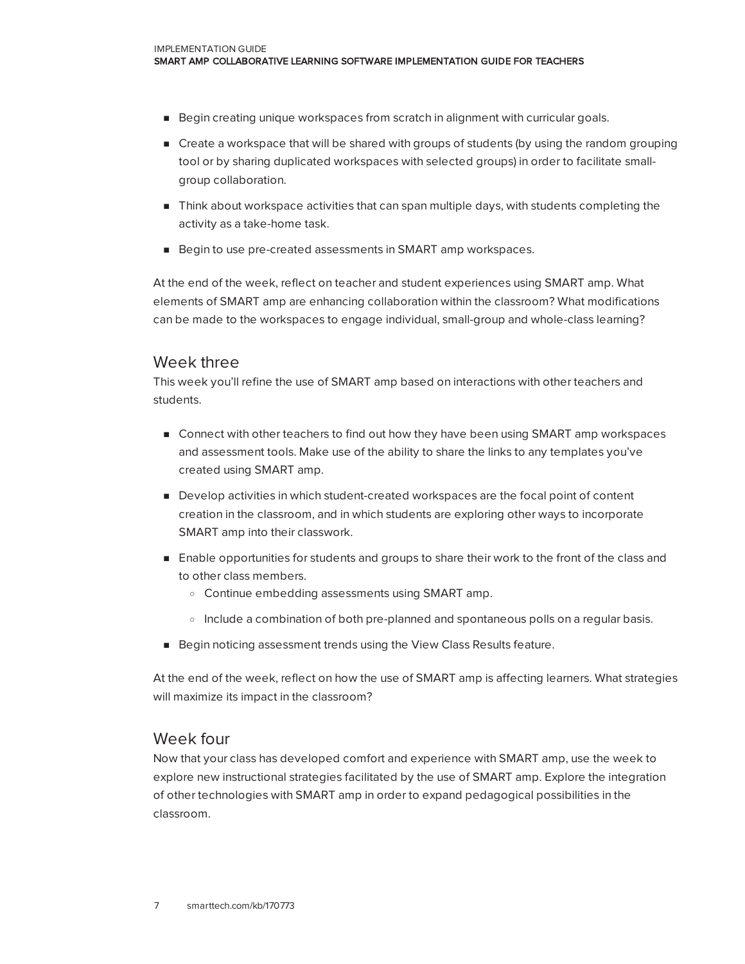- **Begin creating unique workspaces from scratch in alignment with curricular goals.**
- **n** Create a workspace that will be shared with groups of students (by using the random grouping tool or by sharing duplicated workspaces with selected groups) in order to facilitate smallgroup collaboration.
- **n** Think about workspace activities that can span multiple days, with students completing the activity as a take-home task.
- Begin to use pre-created assessments in SMART amp workspaces.

At the end of the week, reflect on teacher and student experiences using SMART amp. What elements of SMART amp are enhancing collaboration within the classroom? What modifications can be made to the workspaces to engage individual, small-group and whole-class learning?

### Week three

This week you'll refine the use of SMART amp based on interactions with other teachers and students.

- Connect with other teachers to find out how they have been using SMART amp workspaces and assessment tools. Make use of the ability to share the links to any templates you've created using SMART amp.
- **Develop activities in which student-created workspaces are the focal point of content** creation in the classroom, and in which students are exploring other ways to incorporate SMART amp into their classwork.
- **E** Enable opportunities for students and groups to share their work to the front of the class and to other class members.
	- <sup>o</sup> Continue embedding assessments using SMART amp.
	- $\circ$  Include a combination of both pre-planned and spontaneous polls on a regular basis.
- Begin noticing assessment trends using the View Class Results feature.

At the end of the week, reflect on how the use of SMART amp is affecting learners. What strategies will maximize its impact in the classroom?

#### Week four

Now that your class has developed comfort and experience with SMART amp, use the week to explore new instructional strategies facilitated by the use of SMART amp. Explore the integration of other technologies with SMART amp in order to expand pedagogical possibilities in the classroom.